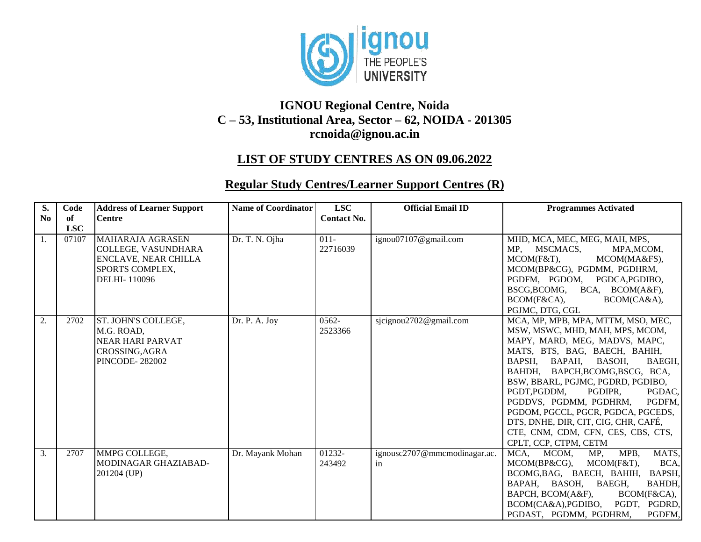

## **IGNOU Regional Centre, Noida C – 53, Institutional Area, Sector – 62, NOIDA - 201305 [rcnoida@ignou.ac.in](mailto:rcnoida@ignou.ac.in)**

## **LIST OF STUDY CENTRES AS ON 09.06.2022**

## **Regular Study Centres/Learner Support Centres (R)**

| S.<br>N <sub>0</sub> | Code<br>of | <b>Address of Learner Support</b><br><b>Centre</b>                                                                      | <b>Name of Coordinator</b>  | <b>LSC</b><br><b>Contact No.</b> | <b>Official Email ID</b>           | <b>Programmes Activated</b>                                                                                                                                                                                                                                                                                                                                                                                                                                            |
|----------------------|------------|-------------------------------------------------------------------------------------------------------------------------|-----------------------------|----------------------------------|------------------------------------|------------------------------------------------------------------------------------------------------------------------------------------------------------------------------------------------------------------------------------------------------------------------------------------------------------------------------------------------------------------------------------------------------------------------------------------------------------------------|
|                      | <b>LSC</b> |                                                                                                                         |                             |                                  |                                    |                                                                                                                                                                                                                                                                                                                                                                                                                                                                        |
| 1.                   | 07107      | <b>MAHARAJA AGRASEN</b><br>COLLEGE, VASUNDHARA<br><b>ENCLAVE, NEAR CHILLA</b><br><b>SPORTS COMPLEX,</b><br>DELHI-110096 | Dr. T. N. Ojha              | $011 -$<br>22716039              | ignou07107@gmail.com               | MHD, MCA, MEC, MEG, MAH, MPS,<br>MSCMACS,<br>MP.<br>MPA, MCOM,<br>MCOM(F&T),<br>MCOM(MA&FS),<br>MCOM(BP&CG), PGDMM, PGDHRM,<br>PGDFM, PGDOM, PGDCA, PGDIBO,<br>BSCG, BCOMG, BCA, BCOM(A&F),<br>BCOM(F&CA),<br>BCOM(CA&A),<br>PGJMC, DTG, CGL                                                                                                                                                                                                                           |
| 2.                   | 2702       | <b>ST. JOHN'S COLLEGE,</b><br>M.G. ROAD,<br><b>NEAR HARI PARVAT</b><br>CROSSING, AGRA<br><b>PINCODE-282002</b>          | $\overline{Dr}$ . P. A. Joy | $0562 -$<br>2523366              | sjcignou2702@gmail.com             | MCA, MP, MPB, MPA, MTTM, MSO, MEC,<br>MSW, MSWC, MHD, MAH, MPS, MCOM,<br>MAPY, MARD, MEG, MADVS, MAPC,<br>MATS, BTS, BAG, BAECH, BAHIH,<br>BAPSH, BAPAH, BASOH,<br>BAEGH,<br>BAHDH, BAPCH, BCOMG, BSCG, BCA,<br>BSW, BBARL, PGJMC, PGDRD, PGDIBO,<br>PGDT,PGDDM,<br>PGDIPR,<br>PGDAC,<br>PGDDVS, PGDMM, PGDHRM,<br>PGDFM.<br>PGDOM, PGCCL, PGCR, PGDCA, PGCEDS,<br>DTS, DNHE, DIR, CIT, CIG, CHR, CAFÉ,<br>CTE, CNM, CDM, CFN, CES, CBS, CTS,<br>CPLT, CCP, CTPM, CETM |
| 3.                   | 2707       | MMPG COLLEGE,<br>MODINAGAR GHAZIABAD-<br>201204 (UP)                                                                    | Dr. Mayank Mohan            | 01232-<br>243492                 | ignousc2707@mmcmodinagar.ac.<br>in | MATS.<br>MCA,<br>MPB,<br>MCOM.<br>MP,<br>BCA,<br>MCOM(BP&CG),<br>MCOM(F&T),<br>BCOMG, BAG, BAECH, BAHIH,<br>BAPSH,<br>BAPAH, BASOH, BAEGH,<br>BAHDH,<br>BAPCH, BCOM(A&F),<br>BCOM(F&CA),<br>BCOM(CA&A), PGDIBO,<br>PGDT, PGDRD,<br>PGDAST, PGDMM, PGDHRM,<br>PGDFM,                                                                                                                                                                                                    |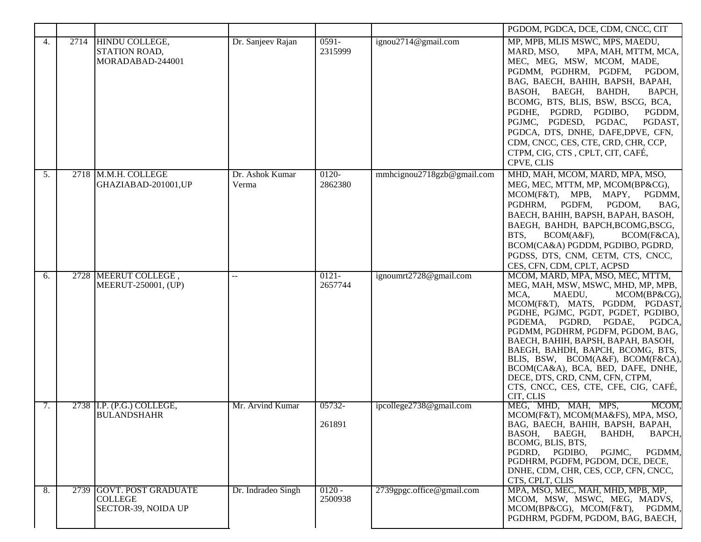|                  |      |                                                                   |                          |                     |                            | PGDOM, PGDCA, DCE, CDM, CNCC, CIT                                                                                                                                                                                                                                                                                                                                                                                                                                                                        |
|------------------|------|-------------------------------------------------------------------|--------------------------|---------------------|----------------------------|----------------------------------------------------------------------------------------------------------------------------------------------------------------------------------------------------------------------------------------------------------------------------------------------------------------------------------------------------------------------------------------------------------------------------------------------------------------------------------------------------------|
| $\overline{4}$ . | 2714 | HINDU COLLEGE,<br>STATION ROAD,<br>MORADABAD-244001               | Dr. Sanjeev Rajan        | $0591 -$<br>2315999 | ignou2714@gmail.com        | MP, MPB, MLIS MSWC, MPS, MAEDU,<br>MARD, MSO,<br>MPA, MAH, MTTM, MCA,<br>MEC, MEG, MSW, MCOM, MADE,<br>PGDMM, PGDHRM, PGDFM,<br>PGDOM,<br>BAG, BAECH, BAHIH, BAPSH, BAPAH,<br>BASOH, BAEGH, BAHDH,<br>BAPCH,<br>BCOMG, BTS, BLIS, BSW, BSCG, BCA,<br>PGDHE, PGDRD, PGDIBO,<br>PGDDM,<br>PGJMC, PGDESD, PGDAC,<br>PGDAST,<br>PGDCA, DTS, DNHE, DAFE, DPVE, CFN,<br>CDM, CNCC, CES, CTE, CRD, CHR, CCP,<br>CTPM, CIG, CTS, CPLT, CIT, CAFÉ,<br>CPVE, CLIS                                                  |
| 5.               |      | 2718 M.M.H. COLLEGE<br>GHAZIABAD-201001,UP                        | Dr. Ashok Kumar<br>Verma | $0120 -$<br>2862380 | mmhcignou2718gzb@gmail.com | MHD, MAH, MCOM, MARD, MPA, MSO,<br>MEG, MEC, MTTM, MP, MCOM(BP&CG),<br>MCOM(F&T), MPB, MAPY,<br>PGDMM,<br>PGDHRM, PGDFM,<br>PGDOM,<br>BAG,<br>BAECH, BAHIH, BAPSH, BAPAH, BASOH,<br>BAEGH, BAHDH, BAPCH, BCOMG, BSCG,<br>BTS,<br>BCOM(A&F),<br>BCOM(F&CA),<br>BCOM(CA&A) PGDDM, PGDIBO, PGDRD,<br>PGDSS, DTS, CNM, CETM, CTS, CNCC,<br>CES, CFN, CDM, CPLT, ACPSD                                                                                                                                        |
| 6.               |      | 2728 MEERUT COLLEGE,<br>MEERUT-250001, (UP)                       | $-$                      | $0121 -$<br>2657744 | ignoumrt2728@gmail.com     | MCOM, MARD, MPA, MSO, MEC, MTTM,<br>MEG, MAH, MSW, MSWC, MHD, MP, MPB,<br>MCA,<br>MAEDU,<br>$MCOM(BP\&CG),$<br>MCOM(F&T), MATS, PGDDM, PGDAST,<br>PGDHE, PGJMC, PGDT, PGDET, PGDIBO,<br>PGDEMA, PGDRD, PGDAE,<br>PGDCA,<br>PGDMM, PGDHRM, PGDFM, PGDOM, BAG,<br>BAECH, BAHIH, BAPSH, BAPAH, BASOH,<br>BAEGH, BAHDH, BAPCH, BCOMG, BTS,<br>BLIS, BSW, BCOM(A&F), BCOM(F&CA),<br>BCOM(CA&A), BCA, BED, DAFE, DNHE,<br>DECE, DTS, CRD, CNM, CFN, CTPM,<br>CTS, CNCC, CES, CTE, CFE, CIG, CAFÉ,<br>CIT, CLIS |
| 7.               |      | 2738 I.P. (P.G.) COLLEGE,<br><b>BULANDSHAHR</b>                   | Mr. Arvind Kumar         | 05732-<br>261891    | ipcollege2738@gmail.com    | MEG, MHD, MAH, MPS,<br>MCOM.<br>MCOM(F&T), MCOM(MA&FS), MPA, MSO,<br>BAG, BAECH, BAHIH, BAPSH, BAPAH,<br>BAEGH,<br>BAHDH,<br>BAPCH,<br>BASOH.<br>BCOMG, BLIS, BTS,<br>PGJMC,<br>PGDRD, PGDIBO,<br>PGDMM,<br>PGDHRM, PGDFM, PGDOM, DCE, DECE,<br>DNHE, CDM, CHR, CES, CCP, CFN, CNCC,<br>CTS, CPLT, CLIS                                                                                                                                                                                                  |
| 8.               |      | 2739 GOVT. POST GRADUATE<br><b>COLLEGE</b><br>SECTOR-39, NOIDA UP | Dr. Indradeo Singh       | $0120 -$<br>2500938 | 2739gpgc.office@gmail.com  | MPA, MSO, MEC, MAH, MHD, MPB, MP,<br>MCOM, MSW, MSWC, MEG, MADVS,<br>MCOM(BP&CG), MCOM(F&T),<br>PGDMM,<br>PGDHRM, PGDFM, PGDOM, BAG, BAECH,                                                                                                                                                                                                                                                                                                                                                              |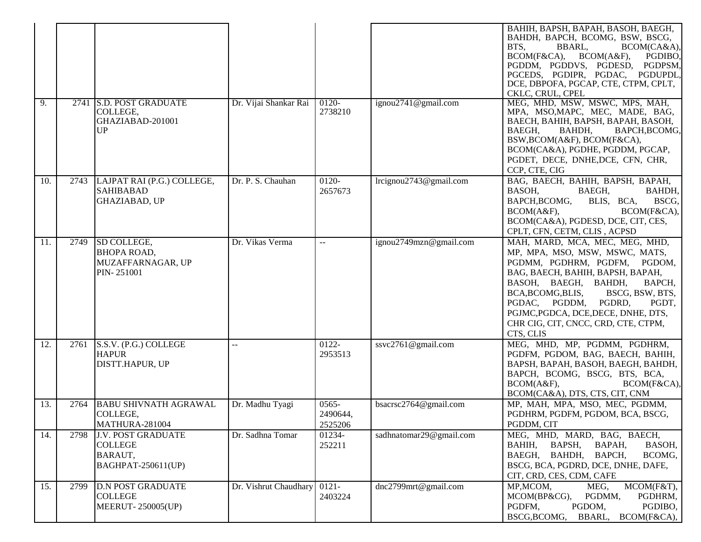|     |      |                                                                              |                       |                                 |                         | BAHIH, BAPSH, BAPAH, BASOH, BAEGH,<br>BAHDH, BAPCH, BCOMG, BSW, BSCG,<br>BTS,<br>BBARL,<br>BCOM(CA&A),<br>BCOM(A&F),<br>PGDIBO,<br>BCOM(F&CA),<br>PGDDM, PGDDVS, PGDESD, PGDPSM,<br>PGCEDS, PGDIPR, PGDAC, PGDUPDL<br>DCE, DBPOFA, PGCAP, CTE, CTPM, CPLT,<br>CKLC, CRUL, CPEL                                                                |
|-----|------|------------------------------------------------------------------------------|-----------------------|---------------------------------|-------------------------|-----------------------------------------------------------------------------------------------------------------------------------------------------------------------------------------------------------------------------------------------------------------------------------------------------------------------------------------------|
| 9.  |      | 2741 S.D. POST GRADUATE<br>COLLEGE,<br>GHAZIABAD-201001<br>UP                | Dr. Vijai Shankar Rai | $0120-$<br>2738210              | ignou2741@gmail.com     | MEG, MHD, MSW, MSWC, MPS, MAH,<br>MPA, MSO, MAPC, MEC, MADE, BAG,<br>BAECH, BAHIH, BAPSH, BAPAH, BASOH,<br>BAEGH,<br>BAHDH,<br>BAPCH, BCOMG,<br>BSW, BCOM(A&F), BCOM(F&CA),<br>BCOM(CA&A), PGDHE, PGDDM, PGCAP,<br>PGDET, DECE, DNHE, DCE, CFN, CHR,<br>CCP, CTE, CIG                                                                         |
| 10. | 2743 | LAJPAT RAI (P.G.) COLLEGE,<br><b>SAHIBABAD</b><br><b>GHAZIABAD, UP</b>       | Dr. P. S. Chauhan     | 0120-<br>2657673                | lrcignou2743@gmail.com  | BAG, BAECH, BAHIH, BAPSH, BAPAH,<br>BAEGH,<br>BASOH,<br>BAHDH,<br>BAPCH, BCOMG,<br>BLIS, BCA,<br>BSCG,<br>BCOM(F&CA),<br>BCOM(A&F),<br>BCOM(CA&A), PGDESD, DCE, CIT, CES,<br>CPLT, CFN, CETM, CLIS, ACPSD                                                                                                                                     |
| 11. | 2749 | SD COLLEGE,<br><b>BHOPA ROAD,</b><br>MUZAFFARNAGAR, UP<br>PIN-251001         | Dr. Vikas Verma       | $-$                             | ignou2749mzn@gmail.com  | MAH, MARD, MCA, MEC, MEG, MHD,<br>MP, MPA, MSO, MSW, MSWC, MATS,<br>PGDMM, PGDHRM, PGDFM, PGDOM,<br>BAG, BAECH, BAHIH, BAPSH, BAPAH,<br>BASOH, BAEGH, BAHDH,<br>BAPCH,<br>BCA, BCOMG, BLIS,<br>BSCG, BSW, BTS,<br>PGDRD,<br>PGDAC, PGDDM,<br>PGDT,<br>PGJMC, PGDCA, DCE, DECE, DNHE, DTS,<br>CHR CIG, CIT, CNCC, CRD, CTE, CTPM,<br>CTS, CLIS |
| 12. | 2761 | S.S.V. (P.G.) COLLEGE<br><b>HAPUR</b><br>DISTT.HAPUR, UP                     | $-$                   | 0122-<br>2953513                | ssvc2761@gmail.com      | MEG, MHD, MP, PGDMM, PGDHRM,<br>PGDFM, PGDOM, BAG, BAECH, BAHIH,<br>BAPSH, BAPAH, BASOH, BAEGH, BAHDH,<br>BAPCH, BCOMG, BSCG, BTS, BCA,<br>BCOM(A&F),<br>BCOM(F&CA),<br>BCOM(CA&A), DTS, CTS, CIT, CNM                                                                                                                                        |
| 13. | 2764 | <b>BABU SHIVNATH AGRAWAL</b><br>COLLEGE,<br>MATHURA-281004                   | Dr. Madhu Tyagi       | $0565 -$<br>2490644,<br>2525206 | bsacrsc2764@gmail.com   | MP, MAH, MPA, MSO, MEC, PGDMM,<br>PGDHRM, PGDFM, PGDOM, BCA, BSCG,<br>PGDDM, CIT                                                                                                                                                                                                                                                              |
| 14. | 2798 | <b>J.V. POST GRADUATE</b><br><b>COLLEGE</b><br>BARAUT,<br>BAGHPAT-250611(UP) | Dr. Sadhna Tomar      | 01234-<br>252211                | sadhnatomar29@gmail.com | MEG, MHD, MARD, BAG, BAECH,<br>BAPSH,<br>BAHIH,<br>BAPAH,<br>BASOH,<br>BAEGH, BAHDH, BAPCH,<br>BCOMG,<br>BSCG, BCA, PGDRD, DCE, DNHE, DAFE,<br>CIT, CRD, CES, CDM, CAFE                                                                                                                                                                       |
| 15. | 2799 | <b>D.N POST GRADUATE</b><br><b>COLLEGE</b><br><b>MEERUT-250005(UP)</b>       | Dr. Vishrut Chaudhary | $0121 -$<br>2403224             | dnc2799mrt@gmail.com    | MCOM(F&T),<br>MP, MCOM,<br>MEG,<br>PGDMM,<br>PGDHRM,<br>MCOM(BP&CG),<br>PGDIBO,<br>PGDFM,<br>PGDOM,<br>BSCG, BCOMG, BBARL, BCOM(F&CA),                                                                                                                                                                                                        |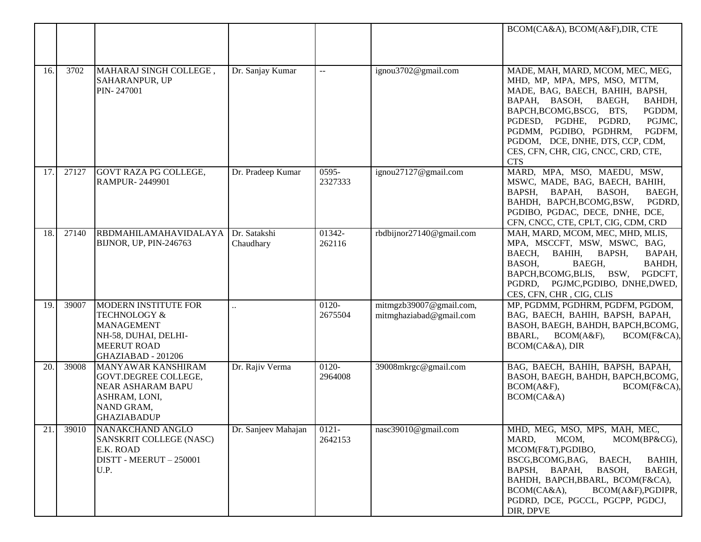|     |       |                                                                                                                                                 |                           |                          |                                                    | BCOM(CA&A), BCOM(A&F), DIR, CTE                                                                                                                                                                                                                                                                                                              |
|-----|-------|-------------------------------------------------------------------------------------------------------------------------------------------------|---------------------------|--------------------------|----------------------------------------------------|----------------------------------------------------------------------------------------------------------------------------------------------------------------------------------------------------------------------------------------------------------------------------------------------------------------------------------------------|
|     |       |                                                                                                                                                 |                           |                          |                                                    |                                                                                                                                                                                                                                                                                                                                              |
| 16. | 3702  | MAHARAJ SINGH COLLEGE,<br><b>SAHARANPUR, UP</b><br>PIN-247001                                                                                   | Dr. Sanjay Kumar          | $\overline{\phantom{a}}$ | ignou3702@gmail.com                                | MADE, MAH, MARD, MCOM, MEC, MEG,<br>MHD, MP, MPA, MPS, MSO, MTTM,<br>MADE, BAG, BAECH, BAHIH, BAPSH,<br>BAPAH, BASOH, BAEGH,<br>BAHDH,<br>BAPCH, BCOMG, BSCG, BTS,<br>PGDDM,<br>PGJMC,<br>PGDESD, PGDHE, PGDRD,<br>PGDMM, PGDIBO, PGDHRM,<br>PGDFM,<br>PGDOM, DCE, DNHE, DTS, CCP, CDM,<br>CES, CFN, CHR, CIG, CNCC, CRD, CTE,<br><b>CTS</b> |
| 17. | 27127 | <b>GOVT RAZA PG COLLEGE,</b><br><b>RAMPUR-2449901</b>                                                                                           | Dr. Pradeep Kumar         | $0595 -$<br>2327333      | ignou27127@gmail.com                               | MARD, MPA, MSO, MAEDU, MSW,<br>MSWC, MADE, BAG, BAECH, BAHIH,<br>BAPSH, BAPAH,<br>BASOH,<br>BAEGH,<br>BAHDH, BAPCH, BCOMG, BSW,<br>PGDRD,<br>PGDIBO, PGDAC, DECE, DNHE, DCE,<br>CFN, CNCC, CTE, CPLT, CIG, CDM, CRD                                                                                                                          |
| 18. | 27140 | RBDMAHILAMAHAVIDALAYA<br>BIJNOR, UP, PIN-246763                                                                                                 | Dr. Satakshi<br>Chaudhary | 01342-<br>262116         | rbdbijnor27140@gmail.com                           | MAH, MARD, MCOM, MEC, MHD, MLIS,<br>MPA, MSCCFT, MSW, MSWC, BAG,<br>BAECH, BAHIH,<br>BAPSH,<br>BAPAH,<br>BASOH,<br>BAEGH,<br>BAHDH,<br>BAPCH, BCOMG, BLIS, BSW,<br>PGDCFT,<br>PGDRD, PGJMC, PGDIBO, DNHE, DWED,<br>CES, CFN, CHR, CIG, CLIS                                                                                                  |
| 19. | 39007 | <b>MODERN INSTITUTE FOR</b><br><b>TECHNOLOGY &amp;</b><br><b>MANAGEMENT</b><br>NH-58, DUHAI, DELHI-<br><b>MEERUT ROAD</b><br>GHAZIABAD - 201206 | $\ddot{\phantom{a}}$      | 0120-<br>2675504         | mitmgzb39007@gmail.com,<br>mitmghaziabad@gmail.com | MP, PGDMM, PGDHRM, PGDFM, PGDOM,<br>BAG, BAECH, BAHIH, BAPSH, BAPAH,<br>BASOH, BAEGH, BAHDH, BAPCH, BCOMG,<br>BBARL,<br>BCOM(A&F),<br>BCOM(F&CA),<br>BCOM(CA&A), DIR                                                                                                                                                                         |
| 20. | 39008 | MANYAWAR KANSHIRAM<br>GOVT.DEGREE COLLEGE,<br><b>NEAR ASHARAM BAPU</b><br>ASHRAM, LONI,<br>NAND GRAM,<br><b>GHAZIABADUP</b>                     | Dr. Rajiv Verma           | 0120-<br>2964008         | 39008mkrgc@gmail.com                               | BAG, BAECH, BAHIH, BAPSH, BAPAH,<br>BASOH, BAEGH, BAHDH, BAPCH, BCOMG,<br>BCOM(A&F),<br>BCOM(F&CA),<br>BCOM(CA&A)                                                                                                                                                                                                                            |
| 21  | 39010 | NANAKCHAND ANGLO<br>SANSKRIT COLLEGE (NASC)<br>E.K. ROAD<br>DISTT - MEERUT - 250001<br>U.P.                                                     | Dr. Sanjeev Mahajan       | $0121 -$<br>2642153      | nasc39010@gmail.com                                | MHD, MEG, MSO, MPS, MAH, MEC,<br>MARD,<br>MCOM,<br>MCOM(BP&CG),<br>MCOM(F&T), PGDIBO,<br>BSCG, BCOMG, BAG,<br>BAECH,<br>BAHIH,<br>BAPSH,<br>BAPAH,<br>BASOH,<br>BAEGH,<br>BAHDH, BAPCH, BBARL, BCOM(F&CA),<br>BCOM(CA&A),<br>BCOM(A&F), PGDIPR,<br>PGDRD, DCE, PGCCL, PGCPP, PGDCJ,<br>DIR, DPVE                                             |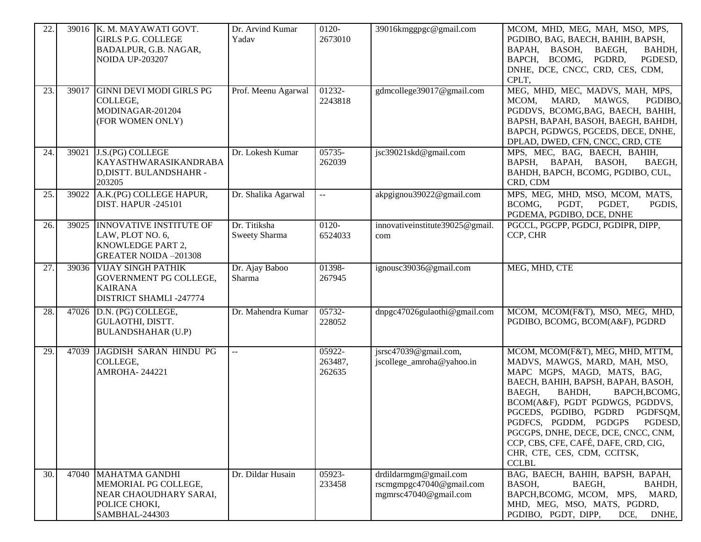| 22. |       | 39016 K. M. MAYAWATI GOVT.<br><b>GIRLS P.G. COLLEGE</b><br>BADALPUR, G.B. NAGAR,<br><b>NOIDA UP-203207</b> | Dr. Arvind Kumar<br>Yadav     | 0120-<br>2673010            | 39016kmggpgc@gmail.com                                                     | MCOM, MHD, MEG, MAH, MSO, MPS,<br>PGDIBO, BAG, BAECH, BAHIH, BAPSH,<br>BAPAH, BASOH,<br>BAEGH,<br>BAHDH,<br>BAPCH, BCOMG, PGDRD,<br>PGDESD,<br>DNHE, DCE, CNCC, CRD, CES, CDM,<br>CPLT,                                                                                                                                                                                                                            |
|-----|-------|------------------------------------------------------------------------------------------------------------|-------------------------------|-----------------------------|----------------------------------------------------------------------------|--------------------------------------------------------------------------------------------------------------------------------------------------------------------------------------------------------------------------------------------------------------------------------------------------------------------------------------------------------------------------------------------------------------------|
| 23. | 39017 | <b>GINNI DEVI MODI GIRLS PG</b><br>COLLEGE,<br>MODINAGAR-201204<br>(FOR WOMEN ONLY)                        | Prof. Meenu Agarwal           | 01232-<br>2243818           | gdmcollege39017@gmail.com                                                  | MEG, MHD, MEC, MADVS, MAH, MPS,<br>MCOM,<br>MARD,<br>MAWGS,<br>PGDIBO,<br>PGDDVS, BCOMG, BAG, BAECH, BAHIH,<br>BAPSH, BAPAH, BASOH, BAEGH, BAHDH,<br>BAPCH, PGDWGS, PGCEDS, DECE, DNHE,<br>DPLAD, DWED, CFN, CNCC, CRD, CTE                                                                                                                                                                                        |
| 24. | 39021 | <b>J.S.(PG) COLLEGE</b><br>KAYASTHWARASIKANDRABA<br>D, DISTT. BULANDSHAHR -<br>203205                      | Dr. Lokesh Kumar              | 05735-<br>262039            | jsc39021skd@gmail.com                                                      | MPS, MEC, BAG, BAECH, BAHIH,<br>BAPSH, BAPAH,<br>BASOH,<br>BAEGH,<br>BAHDH, BAPCH, BCOMG, PGDIBO, CUL,<br>CRD, CDM                                                                                                                                                                                                                                                                                                 |
| 25. | 39022 | A.K.(PG) COLLEGE HAPUR,<br><b>DIST. HAPUR -245101</b>                                                      | Dr. Shalika Agarwal           | $\mathbb{L}^{\mathbb{L}}$   | akpgignou39022@gmail.com                                                   | MPS, MEG, MHD, MSO, MCOM, MATS,<br>BCOMG,<br>PGDT,<br>PGDET,<br>PGDIS,<br>PGDEMA, PGDIBO, DCE, DNHE                                                                                                                                                                                                                                                                                                                |
| 26. |       | 39025 INNOVATIVE INSTITUTE OF<br>LAW, PLOT NO. 6,<br>KNOWLEDGE PART 2,<br><b>GREATER NOIDA-201308</b>      | Dr. Titiksha<br>Sweety Sharma | 0120-<br>6524033            | innovativeinstitute39025@gmail.<br>com                                     | PGCCL, PGCPP, PGDCJ, PGDIPR, DIPP,<br>CCP, CHR                                                                                                                                                                                                                                                                                                                                                                     |
| 27. |       | 39036 VIJAY SINGH PATHIK<br>GOVERNMENT PG COLLEGE,<br><b>KAIRANA</b><br>DISTRICT SHAMLI -247774            | Dr. Ajay Baboo<br>Sharma      | 01398-<br>267945            | ignousc39036@gmail.com                                                     | MEG, MHD, CTE                                                                                                                                                                                                                                                                                                                                                                                                      |
| 28. |       | 47026 D.N. (PG) COLLEGE,<br>GULAOTHI, DISTT.<br><b>BULANDSHAHAR (U.P)</b>                                  | Dr. Mahendra Kumar            | 05732-<br>228052            | dnpgc47026gulaothi@gmail.com                                               | MCOM, MCOM(F&T), MSO, MEG, MHD,<br>PGDIBO, BCOMG, BCOM(A&F), PGDRD                                                                                                                                                                                                                                                                                                                                                 |
| 29. | 47039 | JAGDISH SARAN HINDU PG<br>COLLEGE,<br><b>AMROHA-244221</b>                                                 | $-$                           | 05922-<br>263487,<br>262635 | jsrsc47039@gmail.com,<br>jscollege_amroha@yahoo.in                         | MCOM, MCOM(F&T), MEG, MHD, MTTM,<br>MADVS, MAWGS, MARD, MAH, MSO,<br>MAPC MGPS, MAGD, MATS, BAG,<br>BAECH, BAHIH, BAPSH, BAPAH, BASOH,<br>BAHDH,<br>BAPCH, BCOMG,<br>BAEGH,<br>BCOM(A&F), PGDT PGDWGS, PGDDVS,<br>PGCEDS, PGDIBO, PGDRD PGDFSQM,<br>PGDFCS, PGDDM, PGDGPS<br>PGDESD,<br>PGCGPS, DNHE, DECE, DCE, CNCC, CNM,<br>CCP, CBS, CFE, CAFÉ, DAFE, CRD, CIG,<br>CHR, CTE, CES, CDM, CCITSK,<br><b>CCLBL</b> |
| 30. |       | 47040 MAHATMA GANDHI<br>MEMORIAL PG COLLEGE,<br>NEAR CHAOUDHARY SARAI,<br>POLICE CHOKI,<br>SAMBHAL-244303  | Dr. Dildar Husain             | 05923-<br>233458            | drdildarmgm@gmail.com<br>rscmgmpgc47040@gmail.com<br>mgmrsc47040@gmail.com | BAG, BAECH, BAHIH, BAPSH, BAPAH,<br>BAEGH,<br>BASOH,<br>BAHDH,<br>BAPCH, BCOMG, MCOM, MPS, MARD,<br>MHD, MEG, MSO, MATS, PGDRD,<br>PGDIBO, PGDT, DIPP,<br>DNHE,<br>DCE,                                                                                                                                                                                                                                            |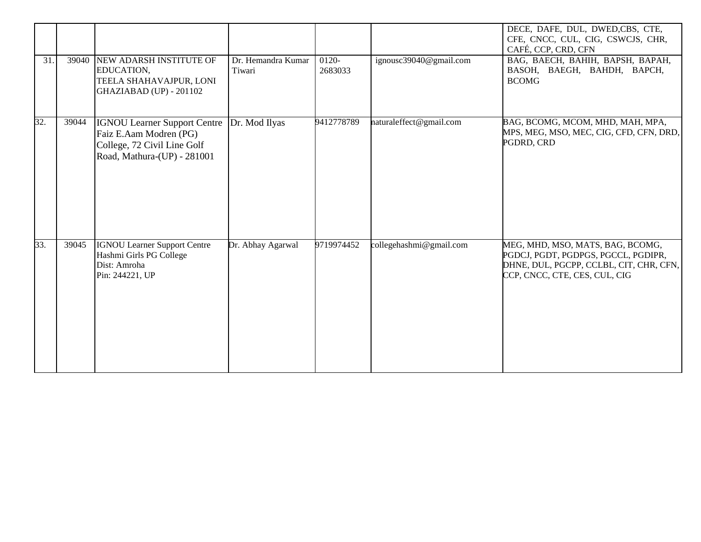|     |       |                                                                                                                             |                              |                    |                         | DECE, DAFE, DUL, DWED,CBS, CTE,<br>CFE, CNCC, CUL, CIG, CSWCJS, CHR,<br>CAFÉ, CCP, CRD, CFN                                                         |
|-----|-------|-----------------------------------------------------------------------------------------------------------------------------|------------------------------|--------------------|-------------------------|-----------------------------------------------------------------------------------------------------------------------------------------------------|
| 31. |       | 39040 NEW ADARSH INSTITUTE OF<br>EDUCATION,<br>TEELA SHAHAVAJPUR, LONI<br>GHAZIABAD (UP) - 201102                           | Dr. Hemandra Kumar<br>Tiwari | $0120-$<br>2683033 | ignousc39040@gmail.com  | BAG, BAECH, BAHIH, BAPSH, BAPAH,<br>BASOH, BAEGH, BAHDH, BAPCH,<br><b>BCOMG</b>                                                                     |
| 32. | 39044 | <b>IGNOU Learner Support Centre</b><br>Faiz E.Aam Modren (PG)<br>College, 72 Civil Line Golf<br>Road, Mathura-(UP) - 281001 | Dr. Mod Ilyas                | 9412778789         | naturaleffect@gmail.com | BAG, BCOMG, MCOM, MHD, MAH, MPA,<br>MPS, MEG, MSO, MEC, CIG, CFD, CFN, DRD,<br>PGDRD, CRD                                                           |
| 33. | 39045 | <b>IGNOU Learner Support Centre</b><br>Hashmi Girls PG College<br>Dist: Amroha<br>Pin: 244221, UP                           | Dr. Abhay Agarwal            | 9719974452         | collegehashmi@gmail.com | MEG, MHD, MSO, MATS, BAG, BCOMG,<br>PGDCJ, PGDT, PGDPGS, PGCCL, PGDIPR,<br>DHNE, DUL, PGCPP, CCLBL, CIT, CHR, CFN,<br>CCP, CNCC, CTE, CES, CUL, CIG |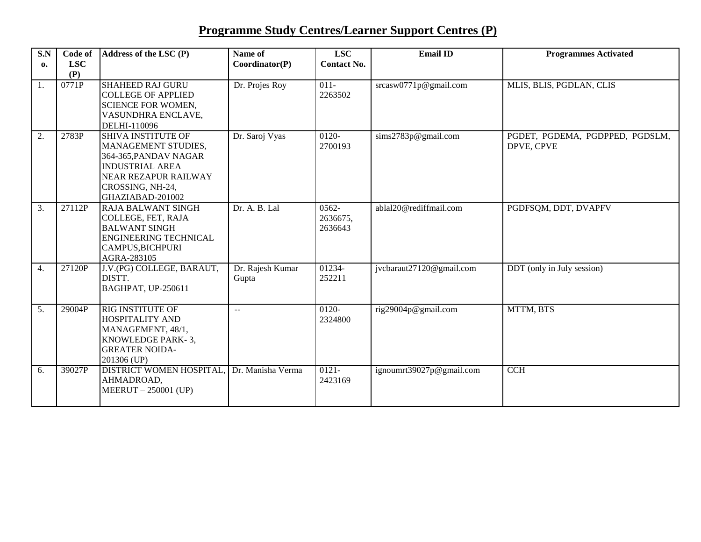# **Programme Study Centres/Learner Support Centres (P)**

| S.N<br>0. | Code of<br><b>LSC</b> | Address of the LSC (P)                                                                                                                                                     | Name of<br>Coordinator(P) | <b>LSC</b><br><b>Contact No.</b> | <b>Email ID</b>          | <b>Programmes Activated</b>                   |
|-----------|-----------------------|----------------------------------------------------------------------------------------------------------------------------------------------------------------------------|---------------------------|----------------------------------|--------------------------|-----------------------------------------------|
|           | (P)                   |                                                                                                                                                                            |                           |                                  |                          |                                               |
| 1.        | 0771P                 | <b>SHAHEED RAJ GURU</b><br><b>COLLEGE OF APPLIED</b><br><b>SCIENCE FOR WOMEN,</b><br>VASUNDHRA ENCLAVE,<br>DELHI-110096                                                    | Dr. Projes Roy            | $011-$<br>2263502                | srcasw0771p@gmail.com    | MLIS, BLIS, PGDLAN, CLIS                      |
| 2.        | 2783P                 | <b>SHIVA INSTITUTE OF</b><br>MANAGEMENT STUDIES,<br>364-365, PANDAV NAGAR<br><b>INDUSTRIAL AREA</b><br><b>NEAR REZAPUR RAILWAY</b><br>CROSSING, NH-24,<br>GHAZIABAD-201002 | Dr. Saroj Vyas            | $0120 -$<br>2700193              | sims2783p@gmail.com      | PGDET, PGDEMA, PGDPPED, PGDSLM,<br>DPVE, CPVE |
| 3.        | 27112P                | <b>RAJA BALWANT SINGH</b><br>COLLEGE, FET, RAJA<br><b>BALWANT SINGH</b><br><b>ENGINEERING TECHNICAL</b><br>CAMPUS, BICHPURI<br>AGRA-283105                                 | Dr. A. B. Lal             | $0562 -$<br>2636675,<br>2636643  | ablal20@rediffmail.com   | PGDFSQM, DDT, DVAPFV                          |
| 4.        | 27120P                | J.V.(PG) COLLEGE, BARAUT,<br>DISTT.<br>BAGHPAT, UP-250611                                                                                                                  | Dr. Rajesh Kumar<br>Gupta | 01234-<br>252211                 | jvcbaraut27120@gmail.com | DDT (only in July session)                    |
| 5.        | 29004P                | <b>RIG INSTITUTE OF</b><br><b>HOSPITALITY AND</b><br>MANAGEMENT, 48/1,<br>KNOWLEDGE PARK-3.<br><b>GREATER NOIDA-</b><br>201306 (UP)                                        | $\mathbf{u}$              | 0120-<br>2324800                 | rig29004p@gmail.com      | MTTM, BTS                                     |
| 6.        | 39027P                | DISTRICT WOMEN HOSPITAL,<br>AHMADROAD,<br>MEERUT - 250001 (UP)                                                                                                             | Dr. Manisha Verma         | $0121 -$<br>2423169              | ignoumrt39027p@gmail.com | $\overline{CCH}$                              |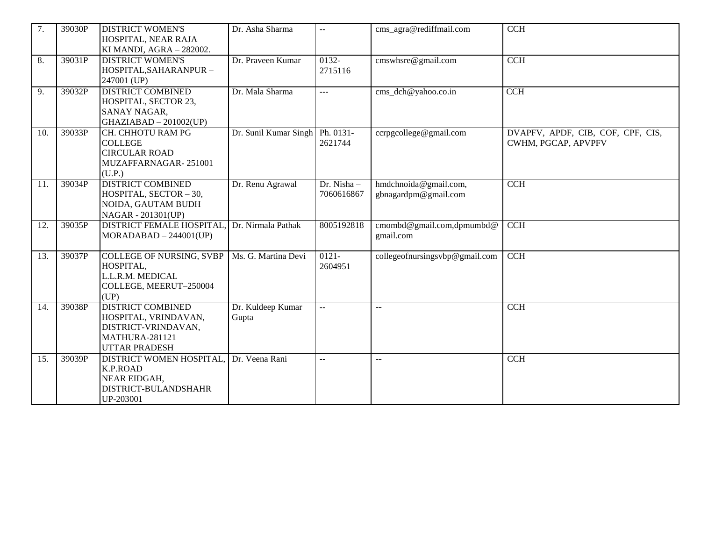| $\overline{7}$ . | 39030P | <b>DISTRICT WOMEN'S</b><br>HOSPITAL, NEAR RAJA<br>KI MANDI, AGRA - 282002.                                               | Dr. Asha Sharma            | $-$                      | cms_agra@rediffmail.com                       | <b>CCH</b>                                               |
|------------------|--------|--------------------------------------------------------------------------------------------------------------------------|----------------------------|--------------------------|-----------------------------------------------|----------------------------------------------------------|
| $\overline{8}$ . | 39031P | <b>DISTRICT WOMEN'S</b><br>HOSPITAL, SAHARANPUR -<br>247001 (UP)                                                         | Dr. Praveen Kumar          | $0132 -$<br>2715116      | cmswhsre@gmail.com                            | $\overline{CCH}$                                         |
| 9.               | 39032P | <b>DISTRICT COMBINED</b><br>HOSPITAL, SECTOR 23,<br><b>SANAY NAGAR,</b><br>$GHAZIABAD - 201002(UP)$                      | Dr. Mala Sharma            | $\overline{a}$           | cms_dch@yahoo.co.in                           | <b>CCH</b>                                               |
| 10.              | 39033P | CH. CHHOTU RAM PG<br><b>COLLEGE</b><br><b>CIRCULAR ROAD</b><br>MUZAFFARNAGAR-251001<br>(U.P.)                            | Dr. Sunil Kumar Singh      | Ph. 0131-<br>2621744     | ccrpgcollege@gmail.com                        | DVAPFV, APDF, CIB, COF, CPF, CIS,<br>CWHM, PGCAP, APVPFV |
| 11.              | 39034P | <b>DISTRICT COMBINED</b><br>HOSPITAL, SECTOR - 30,<br>NOIDA, GAUTAM BUDH<br>NAGAR - 201301(UP)                           | Dr. Renu Agrawal           | Dr. Nisha-<br>7060616867 | hmdchnoida@gmail.com,<br>gbnagardpm@gmail.com | $\overline{CCH}$                                         |
| 12.              | 39035P | <b>DISTRICT FEMALE HOSPITAL</b><br>$MORADABAD - 244001(UP)$                                                              | Dr. Nirmala Pathak         | 8005192818               | cmombd@gmail.com,dpmumbd@<br>gmail.com        | CCH                                                      |
| 13.              | 39037P | <b>COLLEGE OF NURSING, SVBP</b><br>HOSPITAL,<br>L.L.R.M. MEDICAL<br>COLLEGE, MEERUT-250004<br>(UP)                       | Ms. G. Martina Devi        | $0121 -$<br>2604951      | collegeofnursingsvbp@gmail.com                | CCH                                                      |
| 14.              | 39038P | <b>DISTRICT COMBINED</b><br>HOSPITAL, VRINDAVAN,<br>DISTRICT-VRINDAVAN,<br><b>MATHURA-281121</b><br><b>UTTAR PRADESH</b> | Dr. Kuldeep Kumar<br>Gupta | $\overline{a}$           | $-$                                           | $\overline{CCH}$                                         |
| 15.              | 39039P | DISTRICT WOMEN HOSPITAL<br><b>K.P.ROAD</b><br>NEAR EIDGAH,<br>DISTRICT-BULANDSHAHR<br>UP-203001                          | Dr. Veena Rani             | $\overline{\phantom{a}}$ | $-$                                           | <b>CCH</b>                                               |